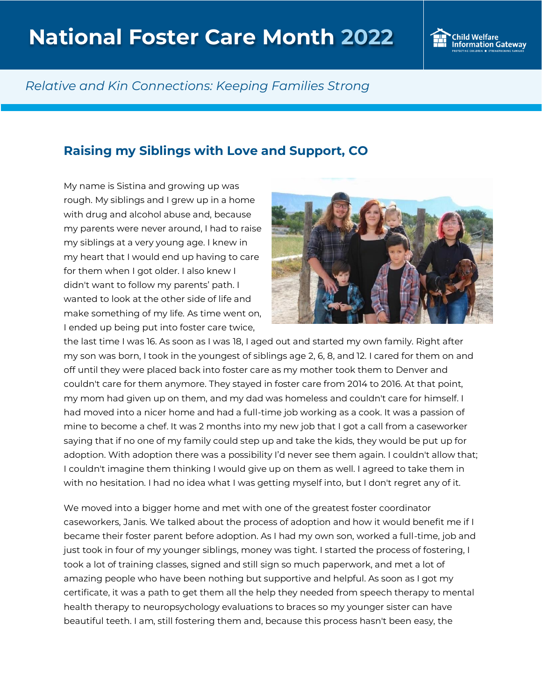

## *Relative and Kin Connections: Keeping Families Strong*

## **Raising my Siblings with Love and Support, CO**

My name is Sistina and growing up was rough. My siblings and I grew up in a home with drug and alcohol abuse and, because my parents were never around, I had to raise my siblings at a very young age. I knew in my heart that I would end up having to care for them when I got older. I also knew I didn't want to follow my parents' path. I wanted to look at the other side of life and make something of my life. As time went on, I ended up being put into foster care twice,



the last time I was 16. As soon as I was 18, I aged out and started my own family. Right after my son was born, I took in the youngest of siblings age 2, 6, 8, and 12. I cared for them on and off until they were placed back into foster care as my mother took them to Denver and couldn't care for them anymore. They stayed in foster care from 2014 to 2016. At that point, my mom had given up on them, and my dad was homeless and couldn't care for himself. I had moved into a nicer home and had a full-time job working as a cook. It was a passion of mine to become a chef. It was 2 months into my new job that I got a call from a caseworker saying that if no one of my family could step up and take the kids, they would be put up for adoption. With adoption there was a possibility I'd never see them again. I couldn't allow that; I couldn't imagine them thinking I would give up on them as well. I agreed to take them in with no hesitation. I had no idea what I was getting myself into, but I don't regret any of it.

We moved into a bigger home and met with one of the greatest foster coordinator caseworkers, Janis. We talked about the process of adoption and how it would benefit me if I became their foster parent before adoption. As I had my own son, worked a full-time, job and just took in four of my younger siblings, money was tight. I started the process of fostering, I took a lot of training classes, signed and still sign so much paperwork, and met a lot of amazing people who have been nothing but supportive and helpful. As soon as I got my certificate, it was a path to get them all the help they needed from speech therapy to mental health therapy to neuropsychology evaluations to braces so my younger sister can have beautiful teeth. I am, still fostering them and, because this process hasn't been easy, the